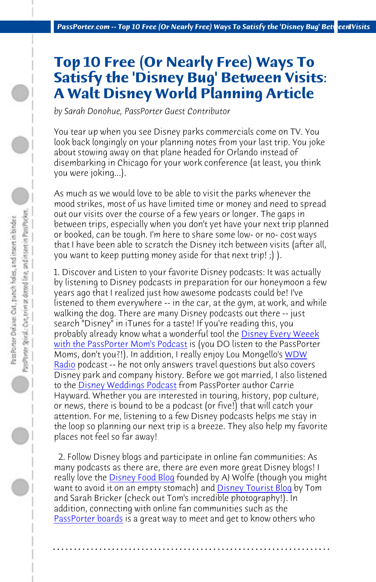*PassPorter.com -- Top 10 Free (Or Nearly Free) Ways To Satisfy the 'Disney Bug' Bett eenlVisits* 

## **Top 10 Free (Or Nearly Free) Ways To Satisfy the 'Disney Bug' Between Visits: A Walt Disney World Planning Article**

*by Sarah Donohue, PassPorter Guest Contributor*

You tear up when you see Disney parks commercials come on TV. You look back longingly on your planning notes from your last trip. You joke about stowing away on that plane headed for Orlando instead of disembarking in Chicago for your work conferen[ce \(at least, you think](http://www.passporter.com/podcast) [you were joking...\).](http://www.passporter.com/podcast) 

[As mu](http://www.wdwradio.com)ch as we would love to be able to visit the parks whenever the mood strikes, most of us have limited time or money and need to spread out o[ur visits over the course of](http://disneyweddingpodcast.com/) a few years or longer. The gaps in between trips, especially when you don't yet have your next trip planned or booked, can be tough. I'm here to share some low- or no- cost ways that I have been able to scratch the Disney itch between visits (after all, you want to keep putting money aside for that next trip! ;) ).

1. Discover and Listen to your favorite Disney podcasts: It was actually by listening to Disney podcasts in preparation for our honeymoon a few years ago that I realized just how awesome podcasts could be! I've listened to the[m everywhere -- i](http://www.disneyfoodblog.com)n the car, at the gym, at work, and while walking the dog. There are many Disney p[odcasts out there -- j](http://www.disneytouristblog.com)ust search "Disney" in iTunes for a taste! If you're reading this, you probably already know what a wonderful tool the Disney Every Weeek [with the PassPorte](http://www.passporterboards.com/forums/)r Mom's Podcast is (you DO listen to the PassPorter Moms, don't you?!). In addition, I really enjoy Lou Mongello's WDW Radio podcast -- he not only answers travel questions but also covers Disney park and company history. Before we got married, I also listened to the Disney Weddings Podcast from PassPorter author Carrie Hayward. Whether you are interested in touring, history, pop culture, or news, there is bound to be a podcast (or five!) that will catch your attention. For me, listening to a few Disney podcasts helps me stay in the loop so planning our next trip is a breeze. They also help my favorite places not feel so far away!

 2. Follow Disney blogs and participate in online fan communities: As many podcasts as there are, there are even more great Disney blogs! I really love the **Disney Food Blog** founded by AJ Wolfe (though you might want to avoid it on an empty stomach) and **Disney Tourist Blog** by Tom and Sarah Bricker (check out Tom's incredible photography!). In addition, connecting with online fan communities such as the PassPorter boards is a great way to meet and get to know others who

**. . . . . . . . . . . . . . . . . . . . . . . . . . . . . . . . . . . . . . . . . . . . . . . . . . . . . . . . . . . . . . . . . .**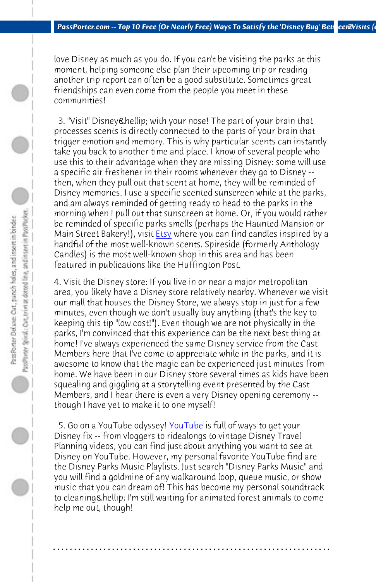*PassPorter.com -- Top 10 Free (Or Nearly Free) Ways To Satisfy the 'Disney Bug' Between2Visits (co* 

love Disney as much as yo[u do.](http://www.etsy.com) If you can't be visiting the parks at this moment, helping someone else plan their upcoming trip or reading another trip report can often be a good substitute. Sometimes great friendships can even come from the people you meet in these communities!

3. "Visit" Disney & hellip; with your nose! The part of your brain that processes scents is directly connected to the parts of your brain that trigger emotion and memory. This is why particular scents can instantly take you back to another time and place. I know of several people who use this to their advantage when they are missing Disney: some will use a specific air freshener in their rooms whenever they go to Disney - then, when they pull out that scent at home, they will be reminded of Disney memories. I use a specific scented sunscreen while at the parks, and am always reminded of getting ready to head to the parks in the morning when I pull out that sunscreen at home. Or, if you would rather be reminded of specific parks smells (perhaps the Haunted Mansion or Main Street Bakery!), visit **Etsy** where you can find candles inspired by a handful of the most well-known scents. Spireside (formerly Anthology Candles) is the most well-kno[wn shop in](http://www.youtube.com) this area and has been featured in publications like the Huffington Post.

4. Visit the Disney store: If you live in or near a major metropolitan area, you likely have a Disney store relatively nearby. Whenever we visit our mall that houses the Disney Store, we always stop in just for a few minutes, even though we don't usually buy anything (that's the key to keeping this tip "low cost!"). Even though we are not physically in the parks, I'm convinced that this experience can be the next best thing at home! I've always experienced the same Disney service from the Cast Members here that I've come to appreciate while in the parks, and it is awesome to know that the magic can be experienced just minutes from home. We have been in our Disney store several times as kids have been squealing and giggling at a storytelling event presented by the Cast Members, and I hear there is even a very Disney opening ceremony - though I have yet to make it to one myself!

5. Go on a YouTube odyssey! YouTube is full of ways to get your Disney fix -- from vloggers to ridealongs to vintage Disney Travel Planning videos, you can find just about anything you want to see at Disney on YouTube. However, my personal favorite YouTube find are the Disney Parks Music Playlists. Just search "Disney Parks Music" and you will find a goldmine of any walkaround loop, queue music, or show music that you can dream of! This has become my personal soundtrack to cleaning Chellip; I'm still waiting for animated forest animals to come help me out, though!

**. . . . . . . . . . . . . . . . . . . . . . . . . . . . . . . . . . . . . . . . . . . . . . . . . . . . . . . . . . . . . . . . . .**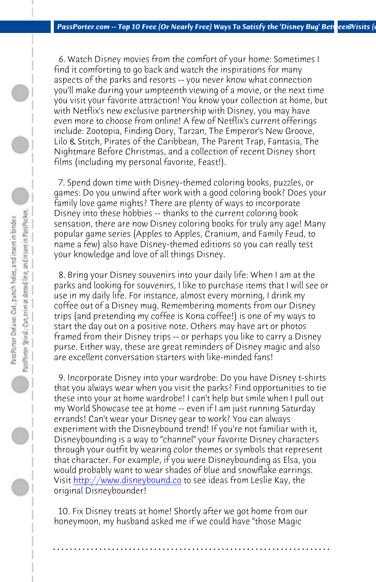*PassPorter.com -- Top 10 Free (Or Nearly Free) Ways To Satisfy the 'Disney Bug' BetweenBVisits (co* 

 6. Watch Disney movies from the comfort of your home: Sometimes I find it comforting to go back and watch the inspirations for many aspects of the parks and resorts -- you never know what connection you'll make during your umpteenth viewing of a movie, or the next time you visit your favorite attraction! You know your collection at home, but with Netflix's new exclusive partnership with Disney, you may have even more to choose from online! A few of Netflix's current offerings include: Zootopia, Finding Dory, Tarzan, The Emperor's New Groove, Lilo & Stitch, Pirates of the Caribbean, The Parent Trap, Fantasia, The Nightmare Before Christmas, and a collection of recent Disney short films (including my personal favorite, Feast!).

 7. Spend down time with Disney-themed coloring books, puzzles, or games: Do you unwind after work with a good coloring book? Does your family love game nights? There are plenty of ways to incorporate Disney into these hobbies -- thanks to the current coloring book sensation, there are now Disney coloring books for truly any age! Many popular game series (Apples to Apples, Cranium, and Family Feud, to name a few) also have Disney-themed editions so you can really test your knowledge and love of all things Disney.

 8. Bring your Disney souvenirs into your daily life: When I am at the parks and looking for souvenirs, I like to purchase items that I will see or use in my daily life. For instance, almost every morning, I drink my coff[ee out of a Disney mug. Reme](http://www.disneybound.co)mbering moments from our Disney trips (and pretending my coffee is Kona coffee!) is one of my ways to start the day out on a positive note. Others may have art or photos framed from their Disney trips -- or perhaps you like to carry a Disney purse. Either way, these are great reminders of Disney magic and also are excellent conversation starters with like-minded fans!

 9. Incorporate Disney into your wardrobe: Do you have Disney t-shirts that you always wear when you visit the parks? Find opportunities to tie these into your at home wardrobe! I can't help but smile when I pull out my World Showcase tee at home -- even if I am just running Saturday errands! Can't wear your Disney gear to work? You can always experiment with the Disneybound trend! If you're not familiar with it, Disneybounding is a way to "channel" your favorite Disney characters through your outfit by wearing color themes or symbols that represent that character. For example, if you were Disneybounding as Elsa, you would probably want to wear shades of blue and snowflake earrings. Visit http://www.disneybound.co to see ideas from Leslie Kay, the original Disneybounder!

 10. Fix Disney treats at home! Shortly after we got home from our honeymoon, my husband asked me if we could have "those Magic

**. . . . . . . . . . . . . . . . . . . . . . . . . . . . . . . . . . . . . . . . . . . . . . . . . . . . . . . . . . . . . . . . . .**